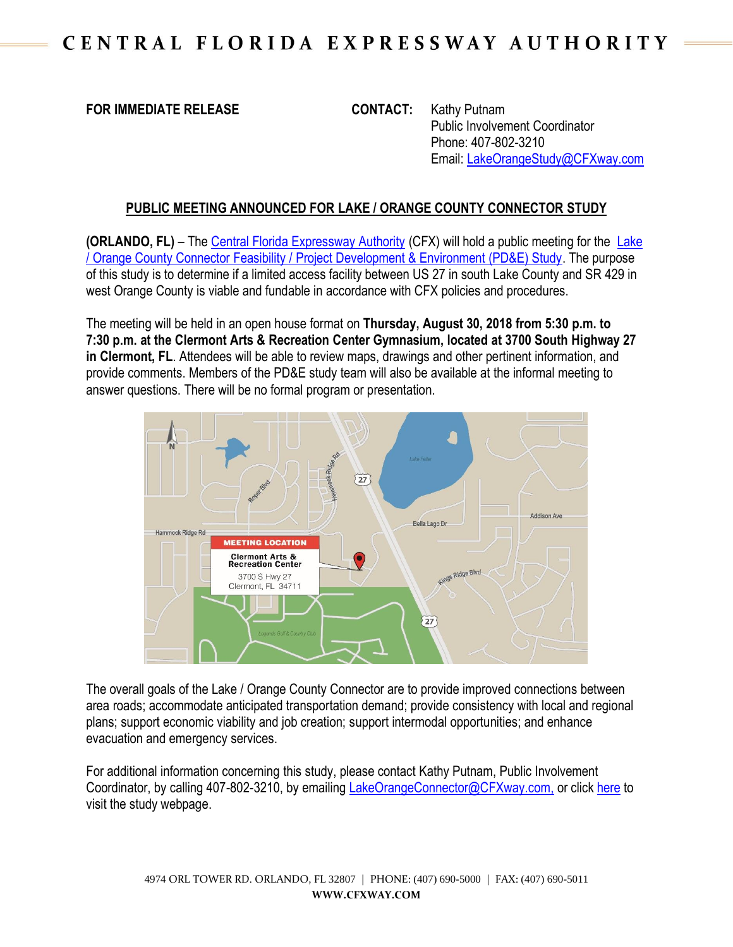## **FOR IMMEDIATE RELEASE CONTACT:** Kathy Putnam

Public Involvement Coordinator Phone: 407-802-3210 Email: [LakeOrangeStudy@CFXway.com](mailto:LakeOrangeStudy@CFXway.com)

## **PUBLIC MEETING ANNOUNCED FOR LAKE / ORANGE COUNTY CONNECTOR STUDY**

**(ORLANDO, FL)** – The [Central Florida Expressway Authority](http://www.cfxway.com/) (CFX) will hold a public meeting for the [Lake](https://www.cfxway.com/agency-information/plans-studies/project-studies/lake-orange-co-connector-pde/)  [/ Orange County Connector Feasibility / Project Development & Environment \(PD&E\) Study.](https://www.cfxway.com/agency-information/plans-studies/project-studies/lake-orange-co-connector-pde/) The purpose of this study is to determine if a limited access facility between US 27 in south Lake County and SR 429 in west Orange County is viable and fundable in accordance with CFX policies and procedures.

The meeting will be held in an open house format on **Thursday, August 30, 2018 from 5:30 p.m. to 7:30 p.m. at the Clermont Arts & Recreation Center Gymnasium, located at 3700 South Highway 27 in Clermont, FL**. Attendees will be able to review maps, drawings and other pertinent information, and provide comments. Members of the PD&E study team will also be available at the informal meeting to answer questions. There will be no formal program or presentation.



The overall goals of the Lake / Orange County Connector are to provide improved connections between area roads; accommodate anticipated transportation demand; provide consistency with local and regional plans; support economic viability and job creation; support intermodal opportunities; and enhance evacuation and emergency services.

For additional information concerning this study, please contact Kathy Putnam, Public Involvement Coordinator, by calling 407-802-3210, by emailing [LakeOrangeConnector@CFXway.com,](mailto:LakeOrangeConnector@CFXway.com) or click [here](https://www.cfxway.com/agency-information/plans-studies/project-studies/lake-orange-co-connector-pde/) to visit the study webpage.